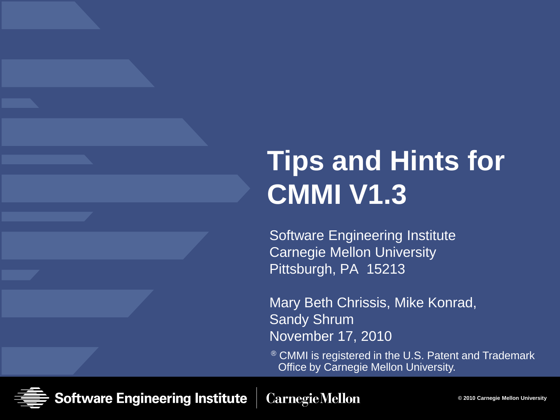# **Tips and Hints for CMMI V1.3**

Software Engineering Institute Carnegie Mellon University Pittsburgh, PA 15213

Mary Beth Chrissis, Mike Konrad, Sandy Shrum November 17, 2010

<sup>®</sup> CMMI is registered in the U.S. Patent and Trademark Office by Carnegie Mellon University.

Software Engineering Institute **Carnegie Mellon**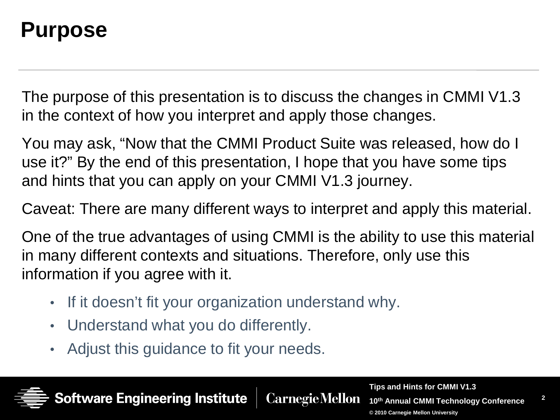#### **Purpose**

The purpose of this presentation is to discuss the changes in CMMI V1.3 in the context of how you interpret and apply those changes.

You may ask, "Now that the CMMI Product Suite was released, how do I use it?" By the end of this presentation, I hope that you have some tips and hints that you can apply on your CMMI V1.3 journey.

Caveat: There are many different ways to interpret and apply this material.

One of the true advantages of using CMMI is the ability to use this material in many different contexts and situations. Therefore, only use this information if you agree with it.

**CarnegieMellon** 

- If it doesn't fit your organization understand why.
- Understand what you do differently.

ware Engineering Institute

• Adjust this guidance to fit your needs.

**Tips and Hints for CMMI V1.3**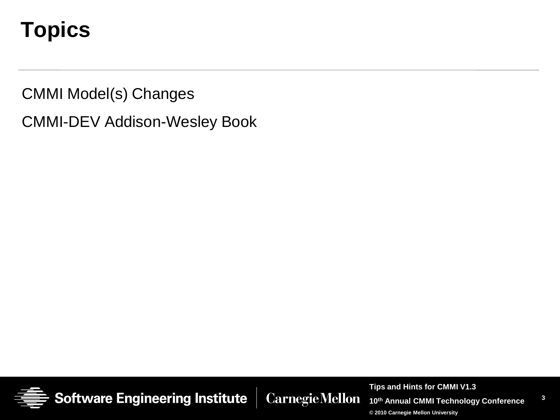## **Topics**

CMMI Model(s) Changes

CMMI-DEV Addison-Wesley Book



**Tips and Hints for CMMI V1.3 CarnegieMellon** 

**10th Annual CMMI Technology Conference**

**3**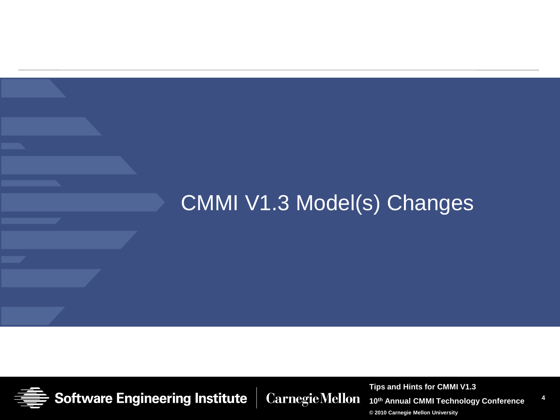#### CMMI V1.3 Model(s) Changes



**CarnegieMellon** 

**Tips and Hints for CMMI V1.3**

**10th Annual CMMI Technology Conference**

**4**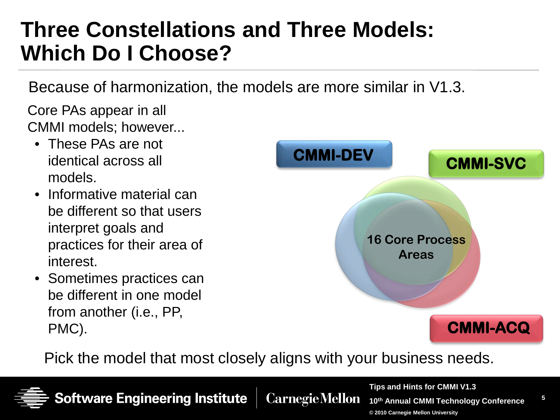### **Three Constellations and Three Models: Which Do I Choose?**

Because of harmonization, the models are more similar in V1.3.

Core PAs appear in all CMMI models; however...

- These PAs are not identical across all models.
- Informative material can be different so that users interpret goals and practices for their area of interest.
- Sometimes practices can be different in one model from another (i.e., PP, PMC).



Pick the model that most closely aligns with your business needs.



Software Engineering Institute **Carnegie Mellon** 

**Tips and Hints for CMMI V1.3 10th Annual CMMI Technology Conference © 2010 Carnegie Mellon University**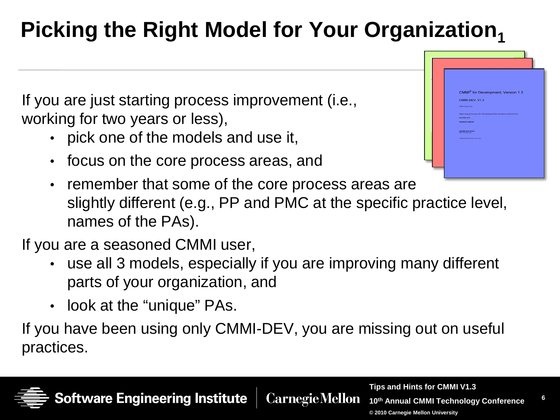## **Picking the Right Model for Your Organization,**

If you are just starting process improvement (i.e., working for two years or less),

- pick one of the models and use it,
- focus on the core process areas, and



• remember that some of the core process areas are slightly different (e.g., PP and PMC at the specific practice level, names of the PAs).

If you are a seasoned CMMI user,

- use all 3 models, especially if you are improving many different parts of your organization, and
- look at the "unique" PAs.

If you have been using only CMMI-DEV, you are missing out on useful practices.

**CarnegieMellon** 

**Tips and Hints for CMMI V1.3**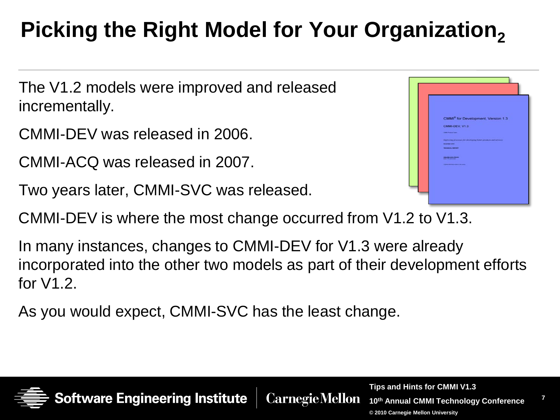## Picking the Right Model for Your Organization,

The V1.2 models were improved and released incrementally.

CMMI-DEV was released in 2006.

CMMI-ACQ was released in 2007.

Two years later, CMMI-SVC was released.

CMMI-DEV is where the most change occurred from V1.2 to V1.3.

In many instances, changes to CMMI-DEV for V1.3 were already incorporated into the other two models as part of their development efforts for V1.2.

**CarnegieMellon** 

As you would expect, CMMI-SVC has the least change.



**Tips and Hints for CMMI V1.3**

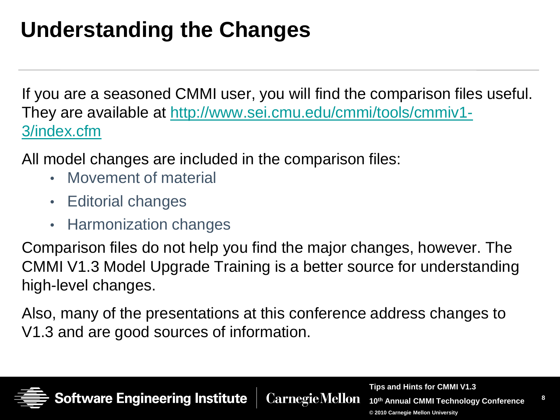## **Understanding the Changes**

If you are a seasoned CMMI user, you will find the comparison files useful. They are available at [http://www.sei.cmu.edu/cmmi/tools/cmmiv1-](http://www.sei.cmu.edu/cmmi/tools/cmmiv1-3/index.cfm) [3/index.cfm](http://www.sei.cmu.edu/cmmi/tools/cmmiv1-3/index.cfm)

All model changes are included in the comparison files:

- Movement of material
- Editorial changes
- Harmonization changes

Comparison files do not help you find the major changes, however. The CMMI V1.3 Model Upgrade Training is a better source for understanding high-level changes.

Also, many of the presentations at this conference address changes to V1.3 and are good sources of information.

**CarnegieMellon** 



**Tips and Hints for CMMI V1.3**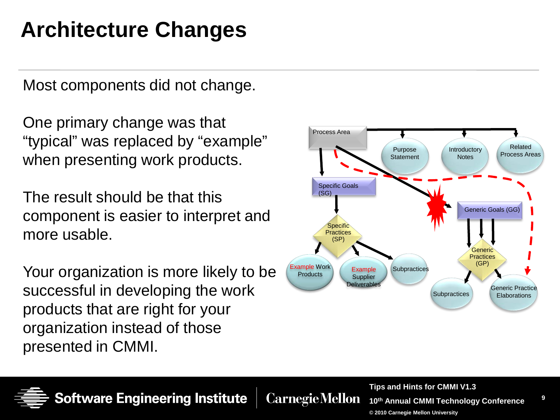## **Architecture Changes**

Most components did not change.

One primary change was that "typical" was replaced by "example" when presenting work products.

The result should be that this component is easier to interpret and more usable.

Your organization is more likely to be successful in developing the work products that are right for your organization instead of those presented in CMMI.





**CarnegieMellon** 

**Tips and Hints for CMMI V1.3**

**9**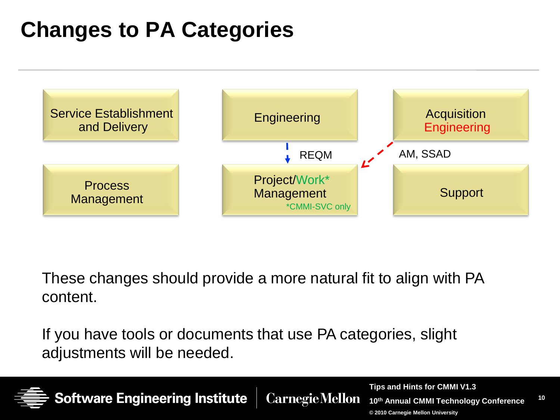## **Changes to PA Categories**

**Software Engineering Institute** 



These changes should provide a more natural fit to align with PA content.

**CarnegieMellon** 

If you have tools or documents that use PA categories, slight adjustments will be needed.



**10**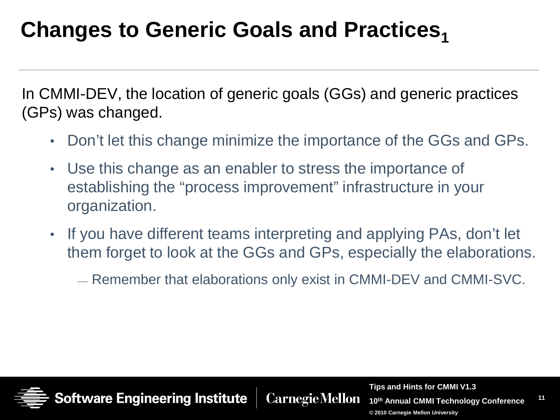#### **Changes to Generic Goals and Practices,**

In CMMI-DEV, the location of generic goals (GGs) and generic practices (GPs) was changed.

- Don't let this change minimize the importance of the GGs and GPs.
- Use this change as an enabler to stress the importance of establishing the "process improvement" infrastructure in your organization.
- If you have different teams interpreting and applying PAs, don't let them forget to look at the GGs and GPs, especially the elaborations.
	- Remember that elaborations only exist in CMMI-DEV and CMMI-SVC.



**Tips and Hints for CMMI V1.3 CarnegieMellon** 

**11 10th Annual CMMI Technology Conference**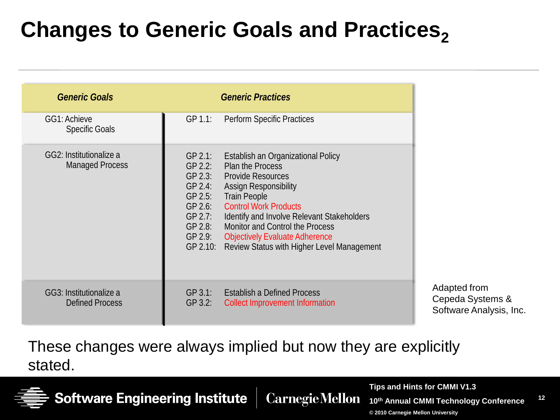## **Changes to Generic Goals and Practices,**

| <b>Generic Goals</b>                              |                                                                                                                           | <b>Generic Practices</b>                                                                                                                                                                                                                                                                                                                          |
|---------------------------------------------------|---------------------------------------------------------------------------------------------------------------------------|---------------------------------------------------------------------------------------------------------------------------------------------------------------------------------------------------------------------------------------------------------------------------------------------------------------------------------------------------|
| GG1: Achieve<br><b>Specific Goals</b>             | GP 1.1:                                                                                                                   | Perform Specific Practices                                                                                                                                                                                                                                                                                                                        |
| GG2: Institutionalize a<br><b>Managed Process</b> | $GP$ 2.1:<br>$GP$ 2.2:<br>$GP$ 2.3:<br>$GP$ 2.4:<br>$GP$ 2.5:<br>$GP$ 2.6:<br>GP 2.7:<br>$GP$ 2.8:<br>GP 2.9:<br>GP 2.10: | Establish an Organizational Policy<br>Plan the Process<br><b>Provide Resources</b><br><b>Assign Responsibility</b><br><b>Train People</b><br><b>Control Work Products</b><br>Identify and Involve Relevant Stakeholders<br>Monitor and Control the Process<br><b>Objectively Evaluate Adherence</b><br>Review Status with Higher Level Management |
| GG3: Institutionalize a<br><b>Defined Process</b> | GP 3.1:<br>$GP$ 3.2:                                                                                                      | <b>Establish a Defined Process</b><br><b>Collect Improvement Information</b>                                                                                                                                                                                                                                                                      |

These changes were always implied but now they are explicitly stated.



**Software Engineering Institute** 

**CarnegieMellon** 

**Tips and Hints for CMMI V1.3**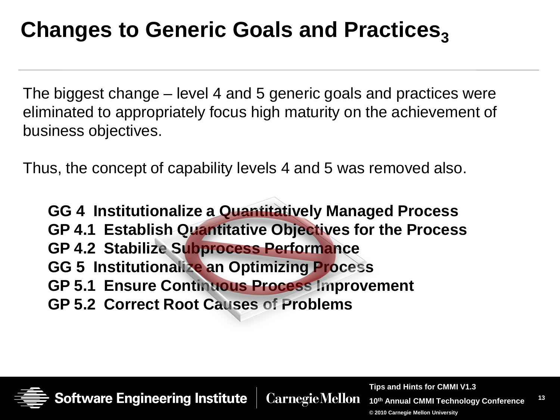#### **Changes to Generic Goals and Practices,**

The biggest change – level 4 and 5 generic goals and practices were eliminated to appropriately focus high maturity on the achievement of business objectives.

Thus, the concept of capability levels 4 and 5 was removed also.

**GG 4 Institutionalize a Quantitatively Managed Process GP 4.1 Establish Quantitative Objectives for the Process GP 4.2 Stabilize Subprocess Performance GG 5 Institutionalize an Optimizing Process GP 5.1 Ensure Continuous Process Improvement GP 5.2 Correct Root Causes of Problems**

**CarnegieMellon** 

tware Engineering Institute

**Tips and Hints for CMMI V1.3**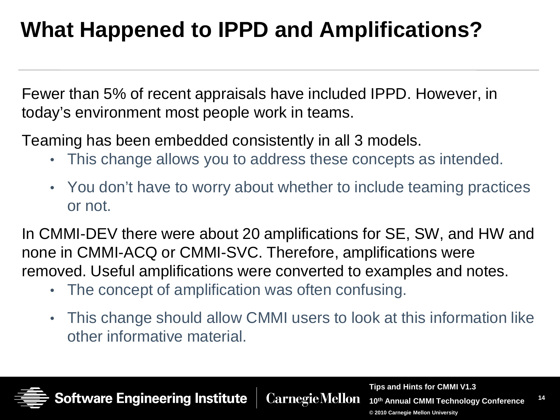## **What Happened to IPPD and Amplifications?**

Fewer than 5% of recent appraisals have included IPPD. However, in today's environment most people work in teams.

Teaming has been embedded consistently in all 3 models.

- This change allows you to address these concepts as intended.
- You don't have to worry about whether to include teaming practices or not.

In CMMI-DEV there were about 20 amplifications for SE, SW, and HW and none in CMMI-ACQ or CMMI-SVC. Therefore, amplifications were removed. Useful amplifications were converted to examples and notes.

- The concept of amplification was often confusing.
- This change should allow CMMI users to look at this information like other informative material.



**CarnegieMellon** 

**Tips and Hints for CMMI V1.3**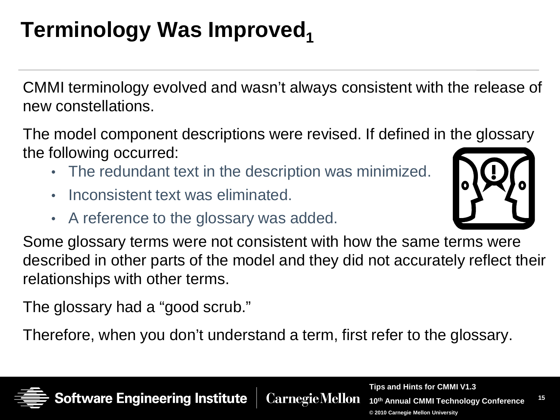## **Terminology Was Improved,**

CMMI terminology evolved and wasn't always consistent with the release of new constellations.

The model component descriptions were revised. If defined in the glossary the following occurred:

- The redundant text in the description was minimized.
- Inconsistent text was eliminated.
- A reference to the glossary was added.



**CarnegieMellon** 

The glossary had a "good scrub."

ware Engineering Institute

Therefore, when you don't understand a term, first refer to the glossary.



**Tips and Hints for CMMI V1.3 10th Annual CMMI Technology Conference**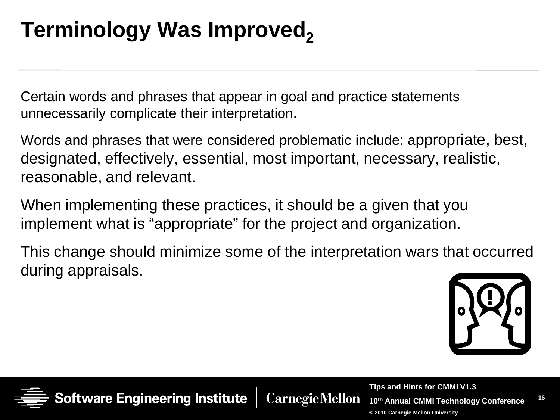## **Terminology Was Improved,**

Certain words and phrases that appear in goal and practice statements unnecessarily complicate their interpretation.

Words and phrases that were considered problematic include: appropriate, best, designated, effectively, essential, most important, necessary, realistic, reasonable, and relevant.

When implementing these practices, it should be a given that you implement what is "appropriate" for the project and organization.

This change should minimize some of the interpretation wars that occurred during appraisals.



**16**



**CarnegieMellon** 

**Tips and Hints for CMMI V1.3 10th Annual CMMI Technology Conference © 2010 Carnegie Mellon University**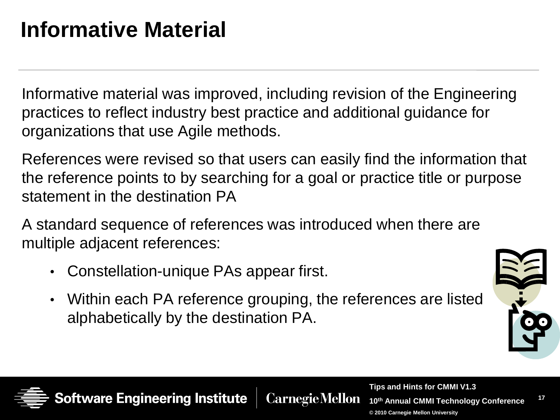## **Informative Material**

Informative material was improved, including revision of the Engineering practices to reflect industry best practice and additional guidance for organizations that use Agile methods.

References were revised so that users can easily find the information that the reference points to by searching for a goal or practice title or purpose statement in the destination PA

A standard sequence of references was introduced when there are multiple adjacent references:

- Constellation-unique PAs appear first.
- Within each PA reference grouping, the references are listed alphabetically by the destination PA.



**17**



**CarnegieMellon** 

**Tips and Hints for CMMI V1.3 10th Annual CMMI Technology Conference**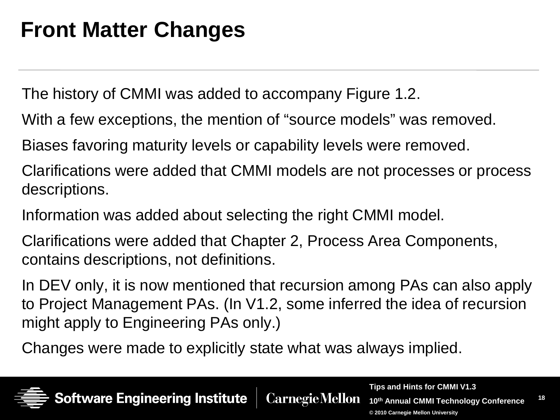#### **Front Matter Changes**

The history of CMMI was added to accompany Figure 1.2.

With a few exceptions, the mention of "source models" was removed.

Biases favoring maturity levels or capability levels were removed.

Clarifications were added that CMMI models are not processes or process descriptions.

Information was added about selecting the right CMMI model.

Clarifications were added that Chapter 2, Process Area Components, contains descriptions, not definitions.

In DEV only, it is now mentioned that recursion among PAs can also apply to Project Management PAs. (In V1.2, some inferred the idea of recursion might apply to Engineering PAs only.)

Changes were made to explicitly state what was always implied.

ware Engineering Institute



**Tips and Hints for CMMI V1.3 CarnegieMellon 10th Annual CMMI Technology Conference**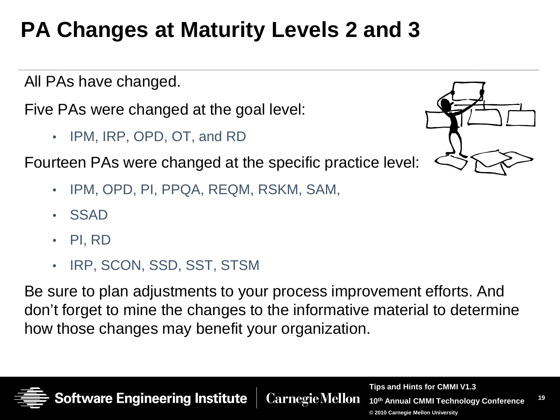## **PA Changes at Maturity Levels 2 and 3**

All PAs have changed.

Five PAs were changed at the goal level:

• IPM, IRP, OPD, OT, and RD

Fourteen PAs were changed at the specific practice level:

- IPM, OPD, PI, PPQA, REQM, RSKM, SAM,
- SSAD
- PI, RD
- IRP, SCON, SSD, SST, STSM

ware Engineering Institute

Be sure to plan adjustments to your process improvement efforts. And don't forget to mine the changes to the informative material to determine how those changes may benefit your organization.

**CarnegieMellon** 



**Tips and Hints for CMMI V1.3 10th Annual CMMI Technology Conference © 2010 Carnegie Mellon University**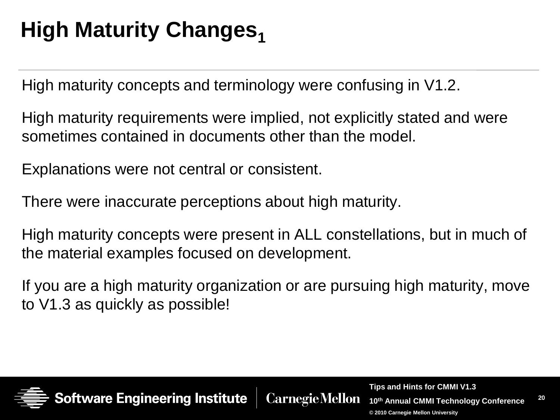## **High Maturity Changes**<sub>1</sub>

High maturity concepts and terminology were confusing in V1.2.

High maturity requirements were implied, not explicitly stated and were sometimes contained in documents other than the model.

Explanations were not central or consistent.

There were inaccurate perceptions about high maturity.

High maturity concepts were present in ALL constellations, but in much of the material examples focused on development.

If you are a high maturity organization or are pursuing high maturity, move to V1.3 as quickly as possible!

**CarnegieMellon** 



**Tips and Hints for CMMI V1.3**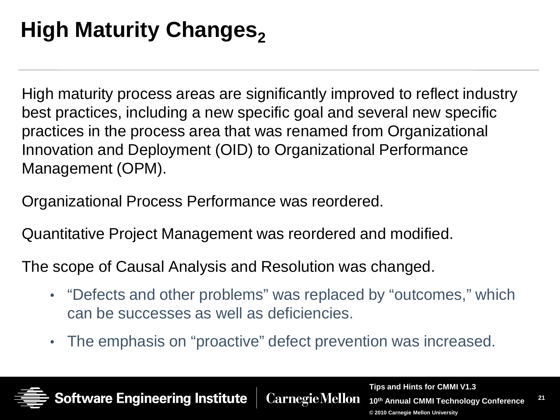## **High Maturity Changes,**

High maturity process areas are significantly improved to reflect industry best practices, including a new specific goal and several new specific practices in the process area that was renamed from Organizational Innovation and Deployment (OID) to Organizational Performance Management (OPM).

Organizational Process Performance was reordered.

Quantitative Project Management was reordered and modified.

The scope of Causal Analysis and Resolution was changed.

- "Defects and other problems" was replaced by "outcomes," which can be successes as well as deficiencies.
- The emphasis on "proactive" defect prevention was increased.

**tware Engineering Institute** 

**Tips and Hints for CMMI V1.3 CarnegieMellon 10th Annual CMMI Technology Conference**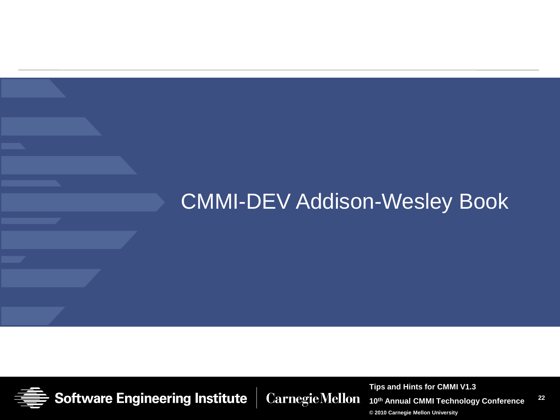#### CMMI-DEV Addison-Wesley Book



**CarnegieMellon** 

**Tips and Hints for CMMI V1.3**

**22 10th Annual CMMI Technology Conference**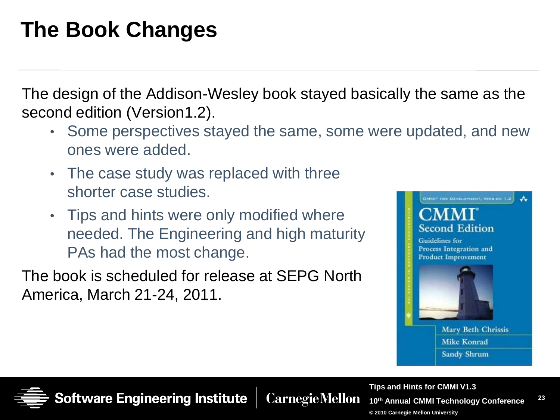## **The Book Changes**

The design of the Addison-Wesley book stayed basically the same as the second edition (Version1.2).

- Some perspectives stayed the same, some were updated, and new ones were added.
- The case study was replaced with three shorter case studies.
- Tips and hints were only modified where needed. The Engineering and high maturity PAs had the most change.

The book is scheduled for release at SEPG North America, March 21-24, 2011.





**CarnegieMellon** 

**23 Tips and Hints for CMMI V1.3 10th Annual CMMI Technology Conference © 2010 Carnegie Mellon University**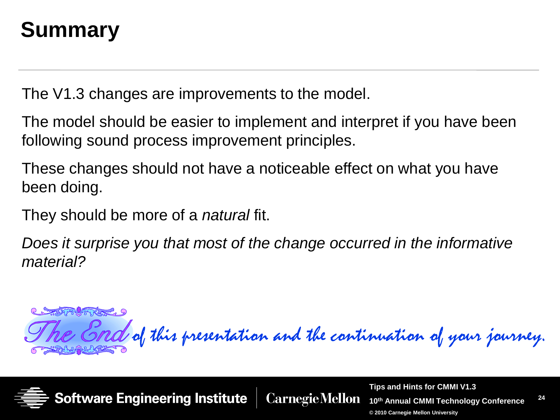## **Summary**

The V1.3 changes are improvements to the model.

The model should be easier to implement and interpret if you have been following sound process improvement principles.

These changes should not have a noticeable effect on what you have been doing.

They should be more of a *natural* fit.

*Does it surprise you that most of the change occurred in the informative material?*

MRITING 9 of this presentation and the continuation of your journey.



**Tips and Hints for CMMI V1.3 CarnegieMellon 10th Annual CMMI Technology Conference**